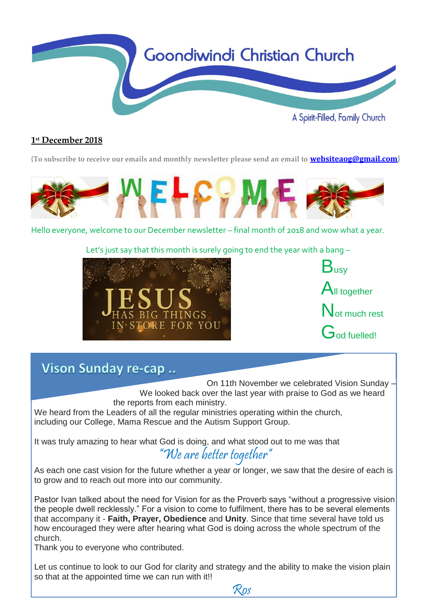

#### **1 st December 2018**

**{To subscribe to receive our emails and monthly newsletter please send an email to [websiteaog@gmail.com](mailto:websiteaog@gmail.com)}**



Hello everyone, welcome to our December newsletter – final month of 2018 and wow what a year.

Let's just say that this month is surely going to end the year with a bang –





### Vison Sunday re-cap ..

On 11th November we celebrated Vision Sunday – We looked back over the last year with praise to God as we heard the reports from each ministry.

We heard from the Leaders of all the regular ministries operating within the church, including our College, Mama Rescue and the Autism Support Group.

It was truly amazing to hear what God is doing, and what stood out to me was that "We are better together"

As each one cast vision for the future whether a year or longer, we saw that the desire of each is to grow and to reach out more into our community.

Pastor Ivan talked about the need for Vision for as the Proverb says "without a progressive vision the people dwell recklessly." For a vision to come to fulfilment, there has to be several elements that accompany it - **Faith, Prayer, Obedience** and **Unity**. Since that time several have told us how encouraged they were after hearing what God is doing across the whole spectrum of the church.

Thank you to everyone who contributed.

Let us continue to look to our God for clarity and strategy and the ability to make the vision plain so that at the appointed time we can run with it!!

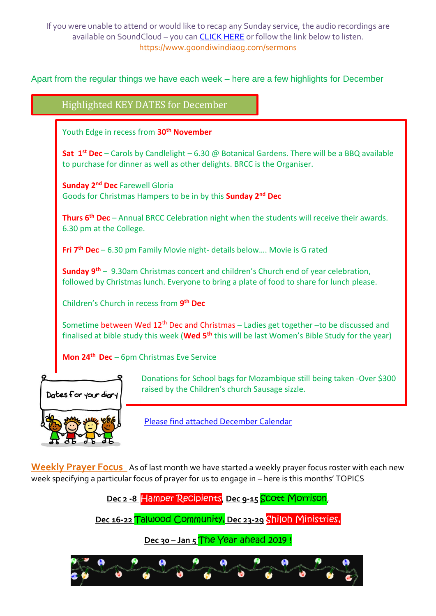If you were unable to attend or would like to recap any Sunday service, the audio recordings are available on SoundCloud – you ca[n CLICK HERE](https://soundcloud.com/goondiwindi-aog) or follow the link below to listen. https://www.goondiwindiaog.com/sermons

Apart from the regular things we have each week – here are a few highlights for December

Highlighted KEY DATES for December

Youth Edge in recess from **30th November**

**Sat 1 st Dec** – Carols by Candlelight – 6.30 @ Botanical Gardens. There will be a BBQ available to purchase for dinner as well as other delights. BRCC is the Organiser.

**Sunday 2nd Dec** Farewell Gloria Goods for Christmas Hampers to be in by this **Sunday 2nd Dec**

**Thurs 6th Dec** – Annual BRCC Celebration night when the students will receive their awards. 6.30 pm at the College.

**Fri 7th Dec** – 6.30 pm Family Movie night- details below…. Movie is G rated

**Sunday 9th** – 9.30am Christmas concert and children's Church end of year celebration, followed by Christmas lunch. Everyone to bring a plate of food to share for lunch please.

Children's Church in recess from **9 th Dec**

Sometime between Wed 12<sup>th</sup> Dec and Christmas – Ladies get together –to be discussed and finalised at bible study this week (**Wed 5th** this will be last Women's Bible Study for the year)

**Mon 24th Dec** – 6pm Christmas Eve Service



Donations for School bags for Mozambique still being taken -Over \$300 raised by the Children's church Sausage sizzle.

[Please find attached](https://docs.wixstatic.com/ugd/1e01d8_13b839dea92e48a0802f19aa8ff3af97.pdf) December Calendar

**Weekly Prayer Focus** As of last month we have started a weekly prayer focus roster with each new week specifying a particular focus of prayer for us to engage in – here is this months' TOPICS

**Dec 2 -8** Hamper Recipients, **Dec 9-15** Scott Morrison,

**Dec 16-22** Talwood Community, **Dec 23-29** Shiloh Ministries,

**Dec 30 – Jan 5** The Year ahead 2019 !

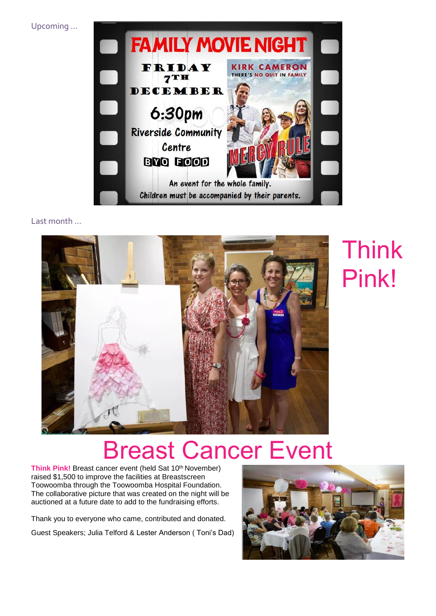Upcoming …



#### Last month …



# Think Pink!

## Breast Cancer Event

**Think Pink!** Breast cancer event (held Sat 10<sup>th</sup> November) raised \$1,500 to improve the facilities at Breastscreen Toowoomba through the Toowoomba Hospital Foundation. The collaborative picture that was created on the night will be auctioned at a future date to add to the fundraising efforts.

Thank you to everyone who came, contributed and donated. Guest Speakers; Julia Telford & Lester Anderson ( Toni's Dad)

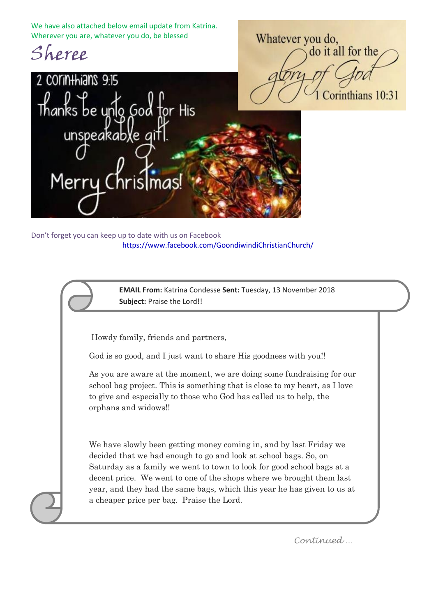We have also attached below email update from Katrina. Wherever you are, whatever you do, be blessed



Whatever you do, do it all for the Corinthians 10:31



Don't forget you can keep up to date with us on Facebook <https://www.facebook.com/GoondiwindiChristianChurch/>

> **EMAIL From:** Katrina Condesse **Sent:** Tuesday, 13 November 2018 **Subject:** Praise the Lord!!

Howdy family, friends and partners,

God is so good, and I just want to share His goodness with you!!

ww.goondig.com As you are aware at the moment, we are doing some fundraising for our school bag project. This is something that is close to my heart, as I love to give and especially to those who God has called us to help, the orphans and widows!!

We have slowly been getting money coming in, and by last Friday we decided that we had enough to go and look at school bags. So, on Saturday as a family we went to town to look for good school bags at a decent price. We went to one of the shops where we brought them last year, and they had the same bags, which this year he has given to us at a cheaper price per bag. Praise the Lord.

*Continued …*